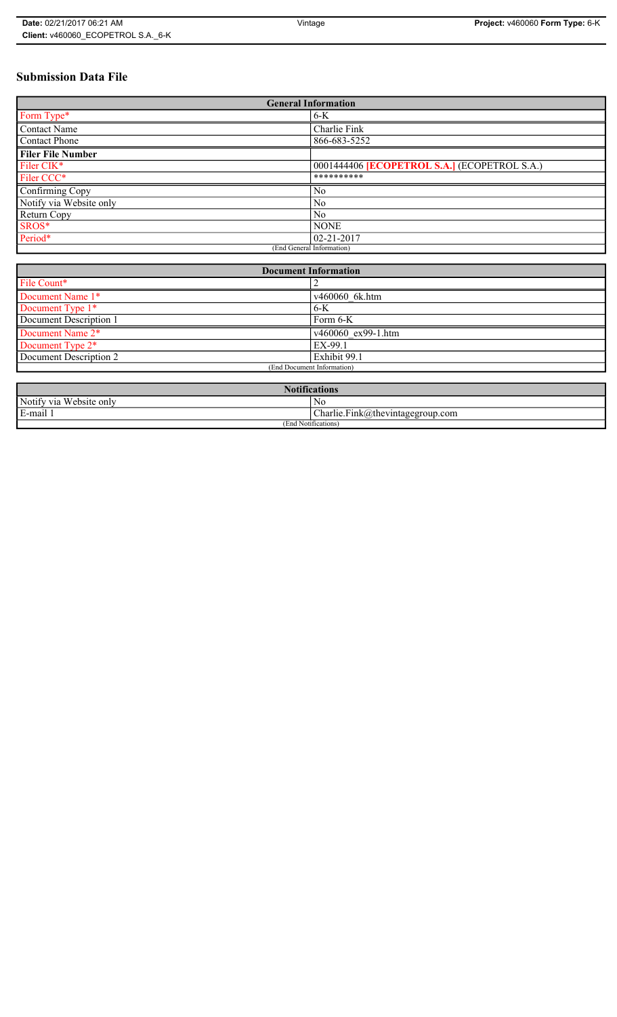# **Submission Data File**

| <b>General Information</b> |                                                   |  |
|----------------------------|---------------------------------------------------|--|
| Form Type*                 | $6-K$                                             |  |
| <b>Contact Name</b>        | Charlie Fink                                      |  |
| <b>Contact Phone</b>       | 866-683-5252                                      |  |
| <b>Filer File Number</b>   |                                                   |  |
| Filer CIK <sup>*</sup>     | 0001444406 <b>ECOPETROL S.A.</b> (ECOPETROL S.A.) |  |
| Filer CCC*                 | **********                                        |  |
| Confirming Copy            | No                                                |  |
| Notify via Website only    | N <sub>0</sub>                                    |  |
| Return Copy                | N <sub>0</sub>                                    |  |
| SROS*                      | <b>NONE</b>                                       |  |
| Period*                    | $02 - 21 - 2017$                                  |  |
| (End General Information)  |                                                   |  |

| <b>Document Information</b> |                            |  |
|-----------------------------|----------------------------|--|
| File Count*                 |                            |  |
| Document Name 1*            | v460060 6k.htm             |  |
| Document Type 1*            | $6 - K$                    |  |
| Document Description 1      | Form 6-K                   |  |
| Document Name 2*            | $\sqrt{460060}$ ex99-1.htm |  |
| Document Type 2*            | EX-99.1                    |  |
| Document Description 2      | Exhibit 99.1               |  |
| (End Document Information)  |                            |  |
|                             |                            |  |

| <b>Notifications</b>    |                                  |  |
|-------------------------|----------------------------------|--|
| Notify via Website only | N0                               |  |
| E-mail 1                | Charlie.Fink@thevintagegroup.com |  |
| (End Notifications)     |                                  |  |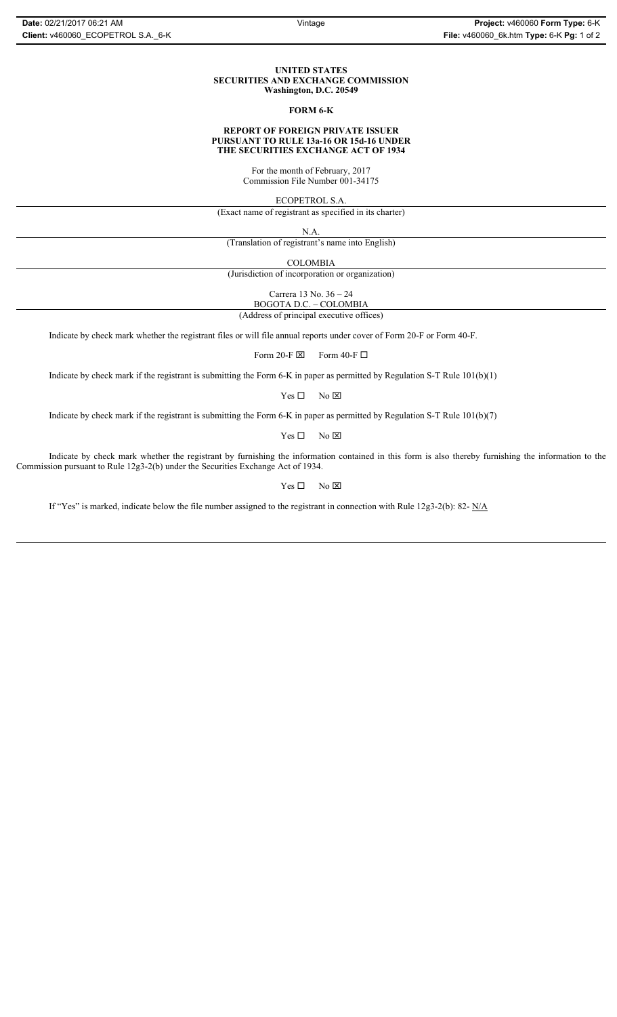### **UNITED STATES SECURITIES AND EXCHANGE COMMISSION Washington, D.C. 20549**

### **FORM 6-K**

### **REPORT OF FOREIGN PRIVATE ISSUER PURSUANT TO RULE 13a-16 OR 15d-16 UNDER THE SECURITIES EXCHANGE ACT OF 1934**

For the month of February, 2017 Commission File Number 001-34175

ECOPETROL S.A.

(Exact name of registrant as specified in its charter)

N.A.

(Translation of registrant's name into English)

COLOMBIA

(Jurisdiction of incorporation or organization)

Carrera 13 No. 36 – 24

BOGOTA D.C. – COLOMBIA

(Address of principal executive offices)

Indicate by check mark whether the registrant files or will file annual reports under cover of Form 20-F or Form 40-F.

Form 20-F  $\boxtimes$  Form 40-F  $\Box$ 

Indicate by check mark if the registrant is submitting the Form 6-K in paper as permitted by Regulation S-T Rule 101(b)(1)

 $Yes \Box$  No  $\boxtimes$ 

Indicate by check mark if the registrant is submitting the Form 6-K in paper as permitted by Regulation S-T Rule 101(b)(7)

 $Yes \Box$  No  $\boxtimes$ 

Indicate by check mark whether the registrant by furnishing the information contained in this form is also thereby furnishing the information to the Commission pursuant to Rule 12g3-2(b) under the Securities Exchange Act of 1934.

 $Yes \Box$  No  $\boxtimes$ 

If "Yes" is marked, indicate below the file number assigned to the registrant in connection with Rule 12g3-2(b): 82- N/A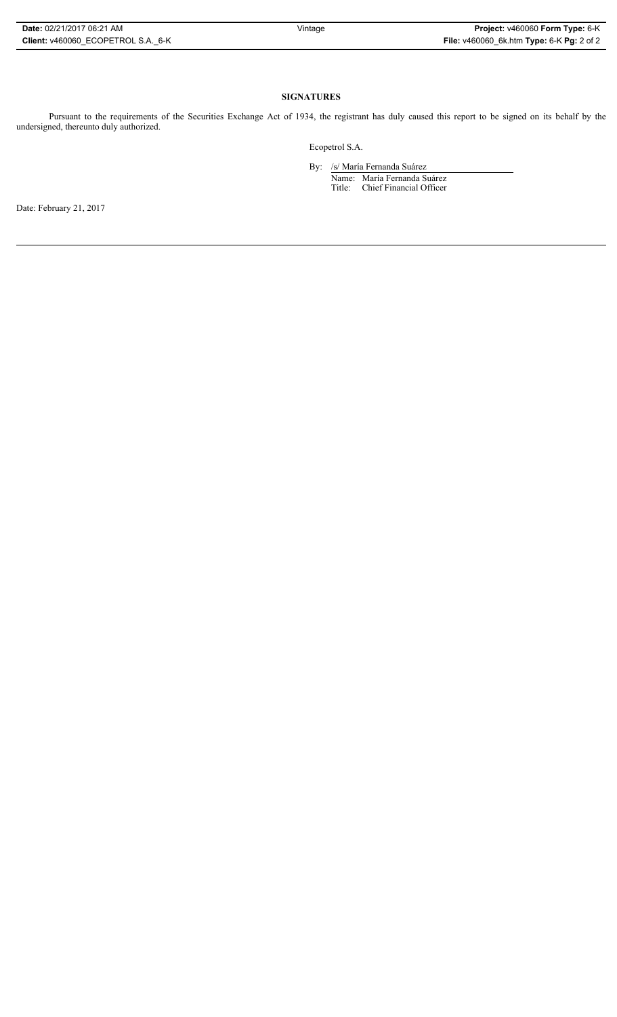# **SIGNATURES**

Pursuant to the requirements of the Securities Exchange Act of 1934, the registrant has duly caused this report to be signed on its behalf by the undersigned, thereunto duly authorized.

Ecopetrol S.A.

By: /s/ María Fernanda Suárez Name: María Fernanda Suárez Title: Chief Financial Officer

Date: February 21, 2017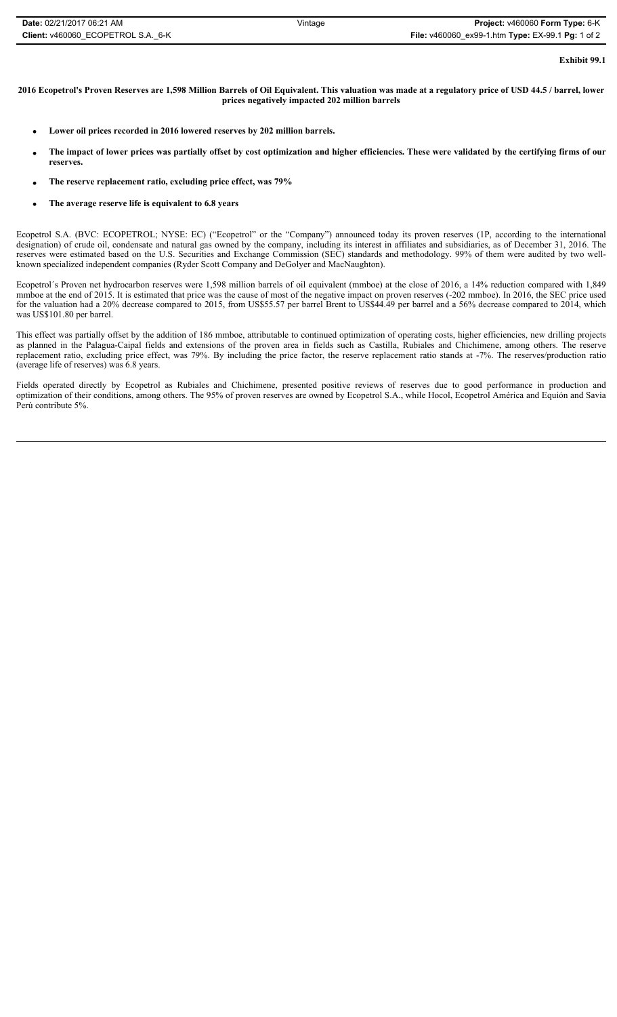| Date: 02/21/2017 06:21 AM          | Vintage | Project: v460060 Form Type: 6-K                   |
|------------------------------------|---------|---------------------------------------------------|
| Client: v460060 ECOPETROL S.A. 6-K |         | File: v460060_ex99-1.htm Type: EX-99.1 Pg: 1 of 2 |

**Exhibit 99.1**

### **2016 Ecopetrol's Proven Reserves are 1,598 Million Barrels of Oil Equivalent. This valuation was made at a regulatory price of USD 44.5 / barrel, lower prices negatively impacted 202 million barrels**

- Lower oil prices recorded in 2016 lowered reserves by 202 million barrels.
- The impact of lower prices was partially offset by cost optimization and higher efficiencies. These were validated by the certifying firms of our **reserves.**
- x **The reserve replacement ratio, excluding price effect, was 79%**
- The average reserve life is equivalent to 6.8 years

Ecopetrol S.A. (BVC: ECOPETROL; NYSE: EC) ("Ecopetrol" or the "Company") announced today its proven reserves (1P, according to the international designation) of crude oil, condensate and natural gas owned by the company, including its interest in affiliates and subsidiaries, as of December 31, 2016. The reserves were estimated based on the U.S. Securities and Exchange Commission (SEC) standards and methodology. 99% of them were audited by two wellknown specialized independent companies (Ryder Scott Company and DeGolyer and MacNaughton).

Ecopetrol´s Proven net hydrocarbon reserves were 1,598 million barrels of oil equivalent (mmboe) at the close of 2016, a 14% reduction compared with 1,849 mmboe at the end of 2015. It is estimated that price was the cause of most of the negative impact on proven reserves (-202 mmboe). In 2016, the SEC price used for the valuation had a 20% decrease compared to 2015, from US\$55.57 per barrel Brent to US\$44.49 per barrel and a 56% decrease compared to 2014, which was US\$101.80 per barrel.

This effect was partially offset by the addition of 186 mmboe, attributable to continued optimization of operating costs, higher efficiencies, new drilling projects as planned in the Palagua-Caipal fields and extensions of the proven area in fields such as Castilla, Rubiales and Chichimene, among others. The reserve replacement ratio, excluding price effect, was 79%. By including the price factor, the reserve replacement ratio stands at -7%. The reserves/production ratio (average life of reserves) was 6.8 years.

Fields operated directly by Ecopetrol as Rubiales and Chichimene, presented positive reviews of reserves due to good performance in production and optimization of their conditions, among others. The 95% of proven reserves are owned by Ecopetrol S.A., while Hocol, Ecopetrol América and Equión and Savia Perú contribute 5%.